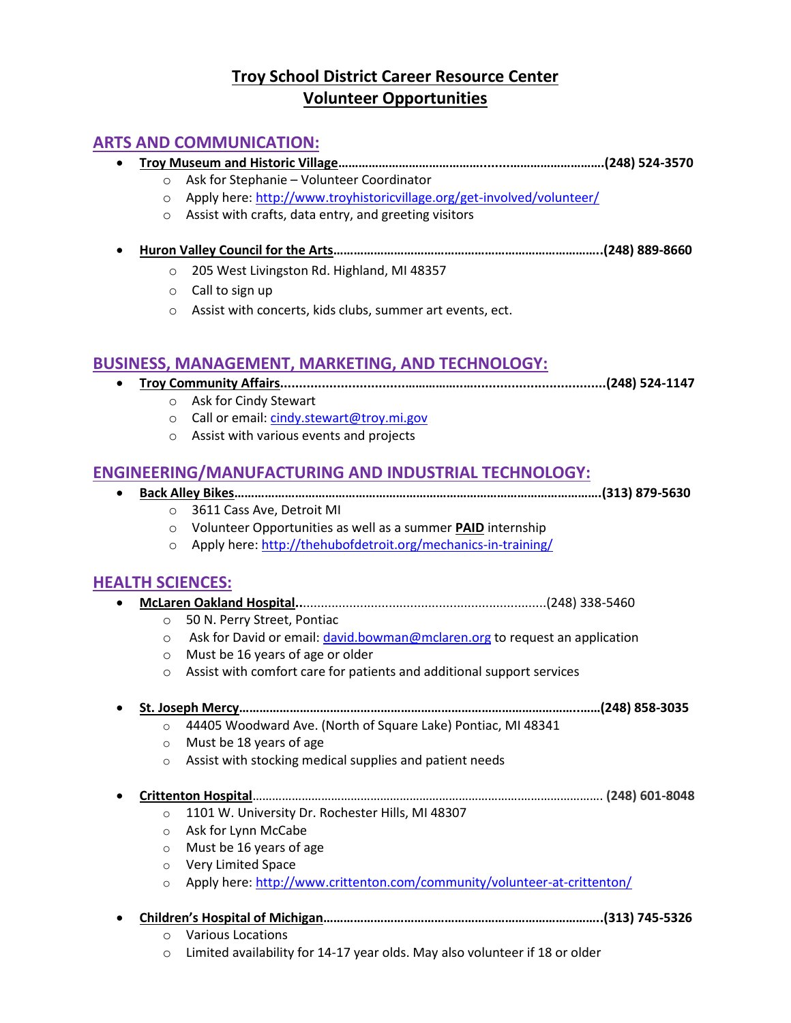# **Troy School District Career Resource Center Volunteer Opportunities**

## **ARTS AND COMMUNICATION:**

- **Troy Museum and Historic Village……………………………………........……………………….(248) 524-3570**
	- o Ask for Stephanie Volunteer Coordinator
		- o Apply here: <http://www.troyhistoricvillage.org/get-involved/volunteer/>
		- o Assist with crafts, data entry, and greeting visitors
- **Huron Valley Council for the Arts……………………………………………………………………..(248) 889-8660**
	- o 205 West Livingston Rd. Highland, MI 48357
	- o Call to sign up
	- o Assist with concerts, kids clubs, summer art events, ect.

## **BUSINESS, MANAGEMENT, MARKETING, AND TECHNOLOGY:**

- **Troy Community Affairs.................................……………..…...................................(248) 524-1147**
	- o Ask for Cindy Stewart
	- o Call or email: [cindy.stewart@troy.mi.gov](mailto:cindy.stewart@troy.mi.gov)
	- o Assist with various events and projects

## **ENGINEERING/MANUFACTURING AND INDUSTRIAL TECHNOLOGY:**

- o 3611 Cass Ave, Detroit MI
- o Volunteer Opportunities as well as a summer **PAID** internship
- o Apply here[: http://thehubofdetroit.org/mechanics-in-training/](http://thehubofdetroit.org/mechanics-in-training/)

## **HEALTH SCIENCES:**

| $\blacksquare$ $\blacksquare$ $\blacksquare$ $\blacksquare$ $\blacksquare$ $\blacksquare$ $\blacksquare$ $\blacksquare$ $\blacksquare$ $\blacksquare$ $\blacksquare$ $\blacksquare$ $\blacksquare$ $\blacksquare$ $\blacksquare$ $\blacksquare$ $\blacksquare$ $\blacksquare$ $\blacksquare$ $\blacksquare$ $\blacksquare$ $\blacksquare$ $\blacksquare$ $\blacksquare$ $\blacksquare$ $\blacksquare$ $\blacksquare$ $\blacksquare$ $\blacksquare$ $\blacksquare$ $\blacksquare$ $\blacks$ |  |
|--------------------------------------------------------------------------------------------------------------------------------------------------------------------------------------------------------------------------------------------------------------------------------------------------------------------------------------------------------------------------------------------------------------------------------------------------------------------------------------------|--|

- o 50 N. Perry Street, Pontiac
- $\circ$  Ask for David or email: [david.bowman@mclaren.org](mailto:david.bowman@mclaren.org) to request an application
- o Must be 16 years of age or older
- o Assist with comfort care for patients and additional support services

### **St. Joseph Mercy………………………………………………………………………………………..……(248) 858-3035**

- o 44405 Woodward Ave. (North of Square Lake) Pontiac, MI 48341
- o Must be 18 years of age
- o Assist with stocking medical supplies and patient needs
- **Crittenton Hospital**……………………………………………………………………….……………………. **(248) 601-8048**
	- o 1101 W. University Dr. Rochester Hills, MI 48307
	- o Ask for Lynn McCabe
	- o Must be 16 years of age
	- o Very Limited Space
	- o Apply here:<http://www.crittenton.com/community/volunteer-at-crittenton/>

- o Various Locations
- o Limited availability for 14-17 year olds. May also volunteer if 18 or older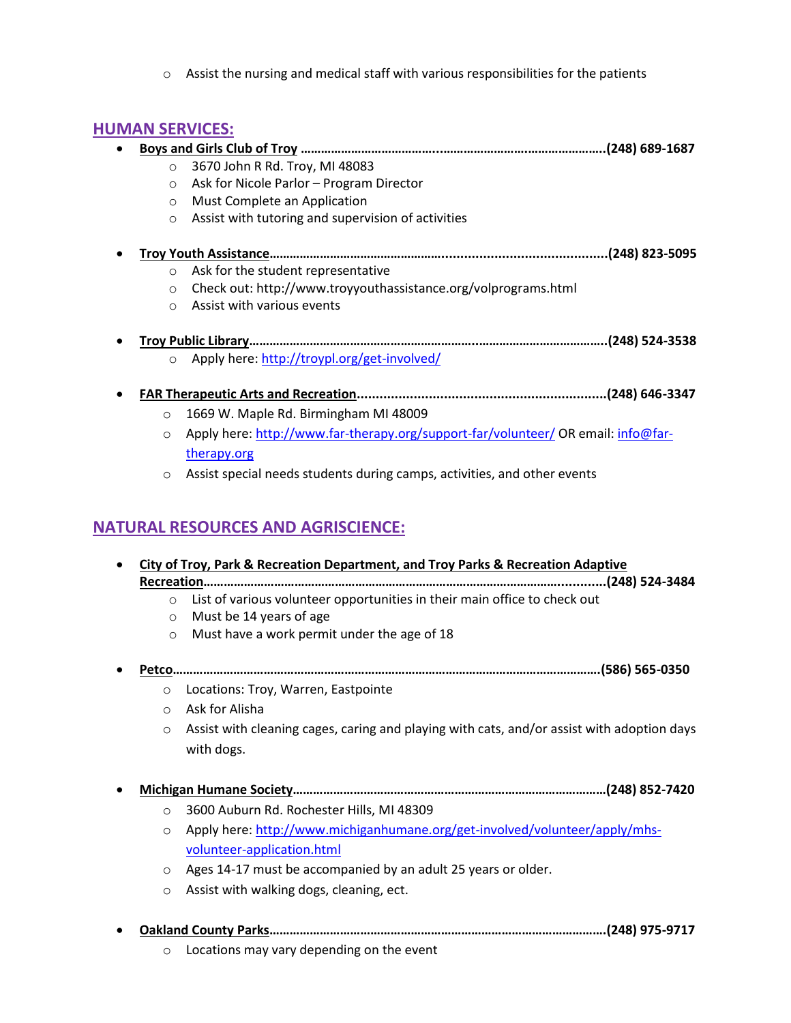o Assist the nursing and medical staff with various responsibilities for the patients

# **HUMAN SERVICES:**

| UIVIMIN JLIVVILLJ. |                                                                                   |  |
|--------------------|-----------------------------------------------------------------------------------|--|
|                    |                                                                                   |  |
| $\circ$            | 3670 John R Rd. Troy, MI 48083                                                    |  |
| $\circ$            | Ask for Nicole Parlor - Program Director                                          |  |
| $\circ$            | Must Complete an Application                                                      |  |
| $\circ$            | Assist with tutoring and supervision of activities                                |  |
|                    |                                                                                   |  |
| $\circ$            | Ask for the student representative                                                |  |
| $\circ$            | Check out: http://www.troyyouthassistance.org/volprograms.html                    |  |
| $\Omega$           | Assist with various events                                                        |  |
|                    |                                                                                   |  |
|                    |                                                                                   |  |
|                    |                                                                                   |  |
| $\circ$            | Apply here: http://troypl.org/get-involved/                                       |  |
|                    |                                                                                   |  |
|                    |                                                                                   |  |
| $\circ$            | 1669 W. Maple Rd. Birmingham MI 48009                                             |  |
| $\circ$            | Apply here: http://www.far-therapy.org/support-far/volunteer/ OR email: info@far- |  |
|                    | therapy.org                                                                       |  |
| $\circ$            | Assist special needs students during camps, activities, and other events          |  |
|                    |                                                                                   |  |

## **NATURAL RESOURCES AND AGRISCIENCE:**

|         | <b>City of Troy, Park &amp; Recreation Department, and Troy Parks &amp; Recreation Adaptive</b> |
|---------|-------------------------------------------------------------------------------------------------|
|         |                                                                                                 |
| $\circ$ | List of various volunteer opportunities in their main office to check out                       |
| $\circ$ | Must be 14 years of age                                                                         |
| $\circ$ | Must have a work permit under the age of 18                                                     |
|         |                                                                                                 |
|         |                                                                                                 |
| $\circ$ | Locations: Troy, Warren, Eastpointe                                                             |
| $\circ$ | Ask for Alisha                                                                                  |
| $\circ$ | Assist with cleaning cages, caring and playing with cats, and/or assist with adoption days      |
|         | with dogs.                                                                                      |
|         |                                                                                                 |
|         |                                                                                                 |
| $\circ$ | 3600 Auburn Rd. Rochester Hills, MI 48309                                                       |
| $\circ$ | Apply here: http://www.michiganhumane.org/get-involved/volunteer/apply/mhs-                     |
|         | volunteer-application.html                                                                      |
| $\circ$ | Ages 14-17 must be accompanied by an adult 25 years or older.                                   |
| $\circ$ | Assist with walking dogs, cleaning, ect.                                                        |
|         |                                                                                                 |
|         |                                                                                                 |

o Locations may vary depending on the event